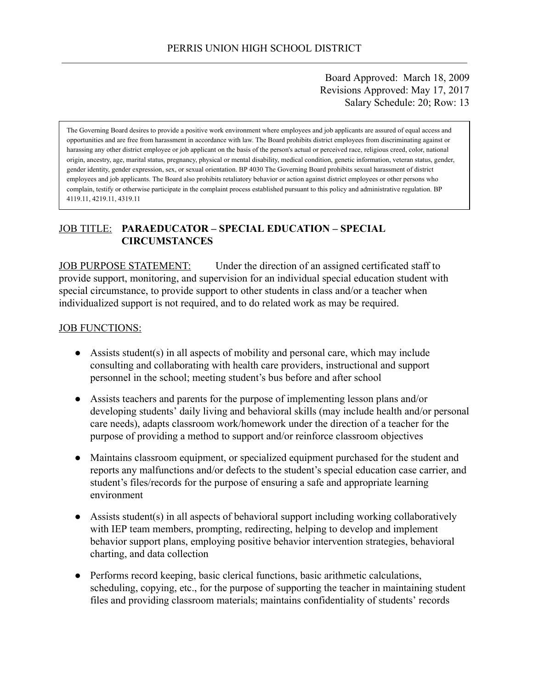Board Approved: March 18, 2009 Revisions Approved: May 17, 2017 Salary Schedule: 20; Row: 13

The Governing Board desires to provide a positive work environment where employees and job applicants are assured of equal access and opportunities and are free from harassment in accordance with law. The Board prohibits district employees from discriminating against or harassing any other district employee or job applicant on the basis of the person's actual or perceived race, religious creed, color, national origin, ancestry, age, marital status, pregnancy, physical or mental disability, medical condition, genetic information, veteran status, gender, gender identity, gender expression, sex, or sexual orientation. BP 4030 The Governing Board prohibits sexual harassment of district employees and job applicants. The Board also prohibits retaliatory behavior or action against district employees or other persons who complain, testify or otherwise participate in the complaint process established pursuant to this policy and administrative regulation. BP 4119.11, 4219.11, 4319.11

# JOB TITLE: **PARAEDUCATOR – SPECIAL EDUCATION – SPECIAL CIRCUMSTANCES**

**JOB PURPOSE STATEMENT:** Under the direction of an assigned certificated staff to provide support, monitoring, and supervision for an individual special education student with special circumstance, to provide support to other students in class and/or a teacher when individualized support is not required, and to do related work as may be required.

#### JOB FUNCTIONS:

- Assists student(s) in all aspects of mobility and personal care, which may include consulting and collaborating with health care providers, instructional and support personnel in the school; meeting student's bus before and after school
- Assists teachers and parents for the purpose of implementing lesson plans and/or developing students' daily living and behavioral skills (may include health and/or personal care needs), adapts classroom work/homework under the direction of a teacher for the purpose of providing a method to support and/or reinforce classroom objectives
- Maintains classroom equipment, or specialized equipment purchased for the student and reports any malfunctions and/or defects to the student's special education case carrier, and student's files/records for the purpose of ensuring a safe and appropriate learning environment
- Assists student(s) in all aspects of behavioral support including working collaboratively with IEP team members, prompting, redirecting, helping to develop and implement behavior support plans, employing positive behavior intervention strategies, behavioral charting, and data collection
- Performs record keeping, basic clerical functions, basic arithmetic calculations, scheduling, copying, etc., for the purpose of supporting the teacher in maintaining student files and providing classroom materials; maintains confidentiality of students' records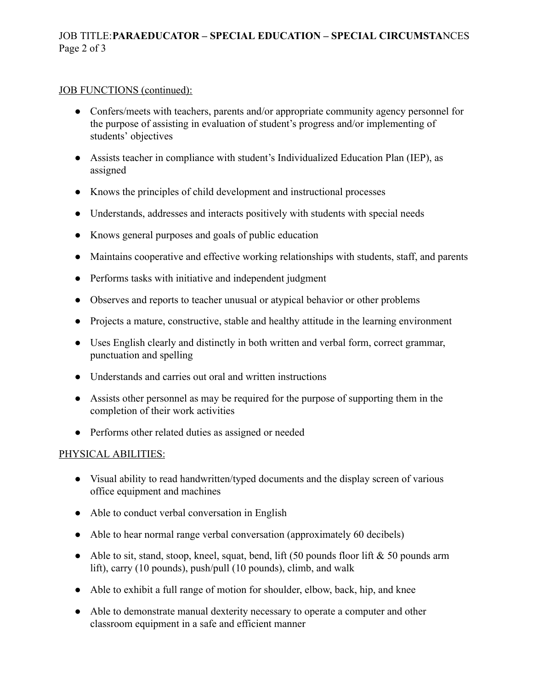# JOB TITLE:**PARAEDUCATOR – SPECIAL EDUCATION – SPECIAL CIRCUMSTA** NCES Page 2 of 3

# JOB FUNCTIONS (continued):

- Confers/meets with teachers, parents and/or appropriate community agency personnel for the purpose of assisting in evaluation of student's progress and/or implementing of students' objectives
- Assists teacher in compliance with student's Individualized Education Plan (IEP), as assigned
- Knows the principles of child development and instructional processes
- Understands, addresses and interacts positively with students with special needs
- Knows general purposes and goals of public education
- Maintains cooperative and effective working relationships with students, staff, and parents
- Performs tasks with initiative and independent judgment
- Observes and reports to teacher unusual or atypical behavior or other problems
- Projects a mature, constructive, stable and healthy attitude in the learning environment
- Uses English clearly and distinctly in both written and verbal form, correct grammar, punctuation and spelling
- Understands and carries out oral and written instructions
- Assists other personnel as may be required for the purpose of supporting them in the completion of their work activities
- Performs other related duties as assigned or needed

# PHYSICAL ABILITIES:

- Visual ability to read handwritten/typed documents and the display screen of various office equipment and machines
- Able to conduct verbal conversation in English
- Able to hear normal range verbal conversation (approximately 60 decibels)
- Able to sit, stand, stoop, kneel, squat, bend, lift (50 pounds floor lift & 50 pounds arm lift), carry (10 pounds), push/pull (10 pounds), climb, and walk
- Able to exhibit a full range of motion for shoulder, elbow, back, hip, and knee
- Able to demonstrate manual dexterity necessary to operate a computer and other classroom equipment in a safe and efficient manner